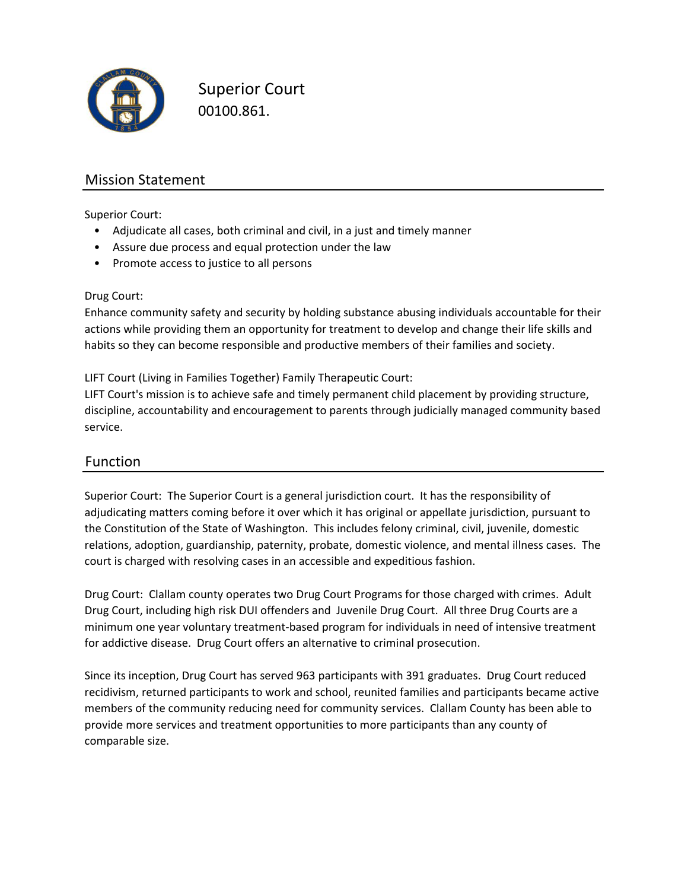

Superior Court 00100.861.

#### Mission Statement

Superior Court:

- Adjudicate all cases, both criminal and civil, in a just and timely manner
- Assure due process and equal protection under the law
- Promote access to justice to all persons

#### Drug Court:

Enhance community safety and security by holding substance abusing individuals accountable for their actions while providing them an opportunity for treatment to develop and change their life skills and habits so they can become responsible and productive members of their families and society.

LIFT Court (Living in Families Together) Family Therapeutic Court:

LIFT Court's mission is to achieve safe and timely permanent child placement by providing structure, discipline, accountability and encouragement to parents through judicially managed community based service.

#### Function

Superior Court: The Superior Court is a general jurisdiction court. It has the responsibility of adjudicating matters coming before it over which it has original or appellate jurisdiction, pursuant to the Constitution of the State of Washington. This includes felony criminal, civil, juvenile, domestic relations, adoption, guardianship, paternity, probate, domestic violence, and mental illness cases. The court is charged with resolving cases in an accessible and expeditious fashion.

Drug Court: Clallam county operates two Drug Court Programs for those charged with crimes. Adult Drug Court, including high risk DUI offenders and Juvenile Drug Court. All three Drug Courts are a minimum one year voluntary treatment-based program for individuals in need of intensive treatment for addictive disease. Drug Court offers an alternative to criminal prosecution.

Since its inception, Drug Court has served 963 participants with 391 graduates. Drug Court reduced recidivism, returned participants to work and school, reunited families and participants became active members of the community reducing need for community services. Clallam County has been able to provide more services and treatment opportunities to more participants than any county of comparable size.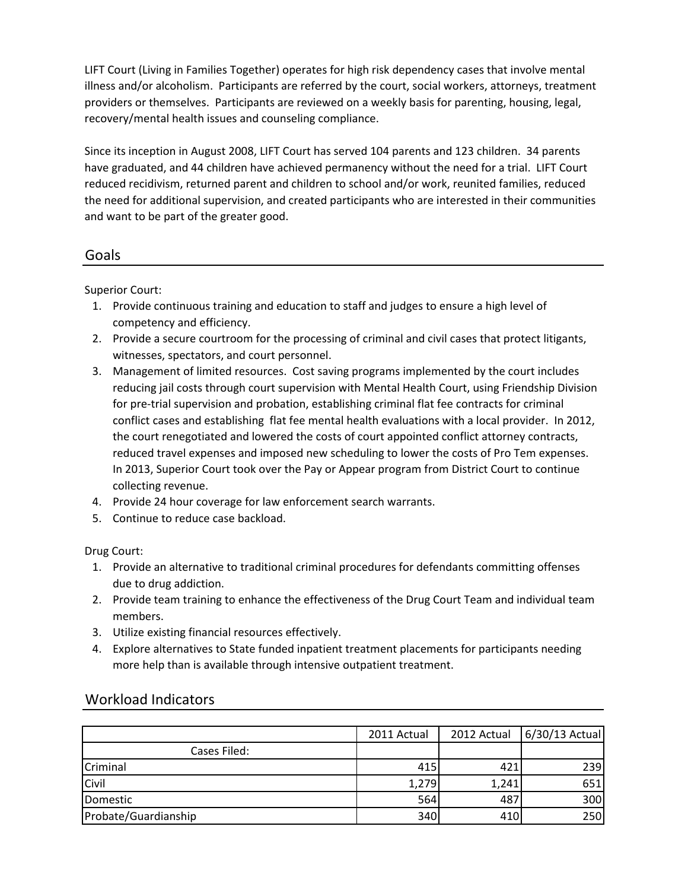LIFT Court (Living in Families Together) operates for high risk dependency cases that involve mental illness and/or alcoholism. Participants are referred by the court, social workers, attorneys, treatment providers or themselves. Participants are reviewed on a weekly basis for parenting, housing, legal, recovery/mental health issues and counseling compliance.

Since its inception in August 2008, LIFT Court has served 104 parents and 123 children. 34 parents have graduated, and 44 children have achieved permanency without the need for a trial. LIFT Court reduced recidivism, returned parent and children to school and/or work, reunited families, reduced the need for additional supervision, and created participants who are interested in their communities and want to be part of the greater good.

#### Goals

Superior Court:

- 1. Provide continuous training and education to staff and judges to ensure a high level of competency and efficiency.
- 2. Provide a secure courtroom for the processing of criminal and civil cases that protect litigants, witnesses, spectators, and court personnel.
- Management of limited resources. Cost saving programs implemented by the court includes 3. reducing jail costs through court supervision with Mental Health Court, using Friendship Division for pre-trial supervision and probation, establishing criminal flat fee contracts for criminal conflict cases and establishing flat fee mental health evaluations with a local provider. In 2012, the court renegotiated and lowered the costs of court appointed conflict attorney contracts, reduced travel expenses and imposed new scheduling to lower the costs of Pro Tem expenses. In 2013, Superior Court took over the Pay or Appear program from District Court to continue collecting revenue.
- 4. Provide 24 hour coverage for law enforcement search warrants.
- 5. Continue to reduce case backload.

Drug Court:

- 1. Provide an alternative to traditional criminal procedures for defendants committing offenses due to drug addiction.
- 2. Provide team training to enhance the effectiveness of the Drug Court Team and individual team members.
- 3. Utilize existing financial resources effectively.
- 4. Explore alternatives to State funded inpatient treatment placements for participants needing more help than is available through intensive outpatient treatment.

|                      | 2011 Actual | 2012 Actual | $6/30/13$ Actual |
|----------------------|-------------|-------------|------------------|
| Cases Filed:         |             |             |                  |
| Criminal             | 415         | 421         | 239              |
| Civil                | 1,279       | 1,241       | 651              |
| Domestic             | 564         | 487         | 300              |
| Probate/Guardianship | 340         | 410         | 250              |

#### Workload Indicators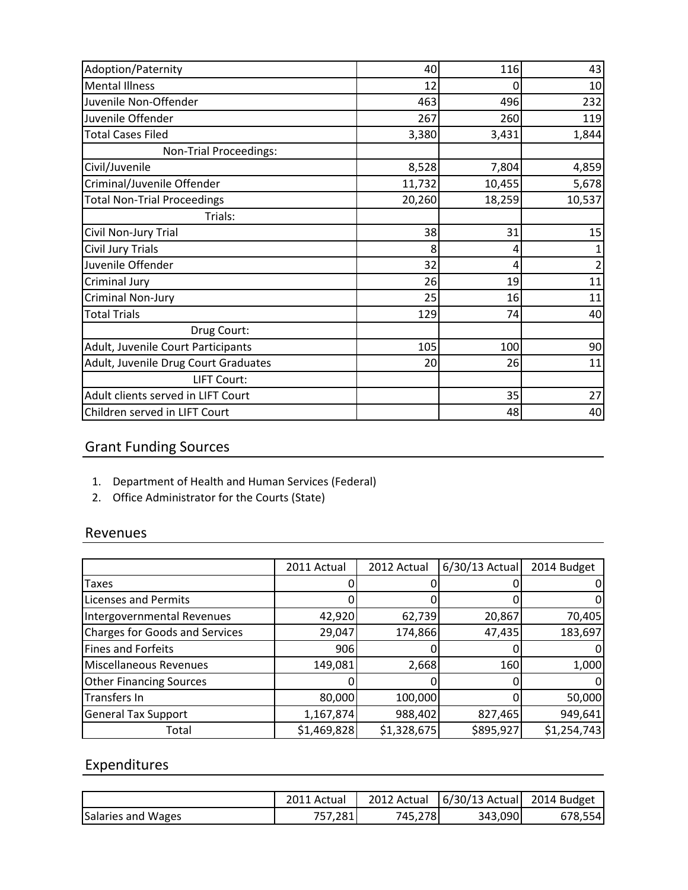| Adoption/Paternity                   | 40     | 116    | 43     |
|--------------------------------------|--------|--------|--------|
| <b>Mental Illness</b>                | 12     | O      | 10     |
| Juvenile Non-Offender                | 463    | 496    | 232    |
| Juvenile Offender                    | 267    | 260    | 119    |
| <b>Total Cases Filed</b>             | 3,380  | 3,431  | 1,844  |
| Non-Trial Proceedings:               |        |        |        |
| Civil/Juvenile                       | 8,528  | 7,804  | 4,859  |
| Criminal/Juvenile Offender           | 11,732 | 10,455 | 5,678  |
| <b>Total Non-Trial Proceedings</b>   | 20,260 | 18,259 | 10,537 |
| Trials:                              |        |        |        |
| Civil Non-Jury Trial                 | 38     | 31     | 15     |
| Civil Jury Trials                    | 8      | 4      |        |
| Juvenile Offender                    | 32     | 4      |        |
| Criminal Jury                        | 26     | 19     | 11     |
| Criminal Non-Jury                    | 25     | 16     | 11     |
| <b>Total Trials</b>                  | 129    | 74     | 40     |
| Drug Court:                          |        |        |        |
| Adult, Juvenile Court Participants   | 105    | 100    | 90     |
| Adult, Juvenile Drug Court Graduates | 20     | 26     | 11     |
| LIFT Court:                          |        |        |        |
| Adult clients served in LIFT Court   |        | 35     | 27     |
| Children served in LIFT Court        |        | 48     | 40     |

# Grant Funding Sources

- 1. Department of Health and Human Services (Federal)
- 2. Office Administrator for the Courts (State)

#### Revenues

|                                       | 2011 Actual | 2012 Actual | $6/30/13$ Actual | 2014 Budget |
|---------------------------------------|-------------|-------------|------------------|-------------|
| Taxes                                 |             |             |                  |             |
| <b>Licenses and Permits</b>           |             |             |                  |             |
| Intergovernmental Revenues            | 42,920      | 62,739      | 20,867           | 70,405      |
| <b>Charges for Goods and Services</b> | 29,047      | 174,866     | 47,435           | 183,697     |
| Fines and Forfeits                    | 906         |             |                  |             |
| Miscellaneous Revenues                | 149,081     | 2,668       | 160              | 1,000       |
| <b>Other Financing Sources</b>        |             |             |                  |             |
| Transfers In                          | 80,000      | 100,000     |                  | 50,000      |
| <b>General Tax Support</b>            | 1,167,874   | 988,402     | 827,465          | 949,641     |
| Total                                 | \$1,469,828 | \$1,328,675 | \$895,927        | \$1,254,743 |

## Expenditures

|                    | 2011 Actual | 2012 Actual | $\left  \frac{6}{30} \right $ Actual 2014 Budget |         |
|--------------------|-------------|-------------|--------------------------------------------------|---------|
| Salaries and Wages | 757,281     | 745,278     | 343,090                                          | 678,554 |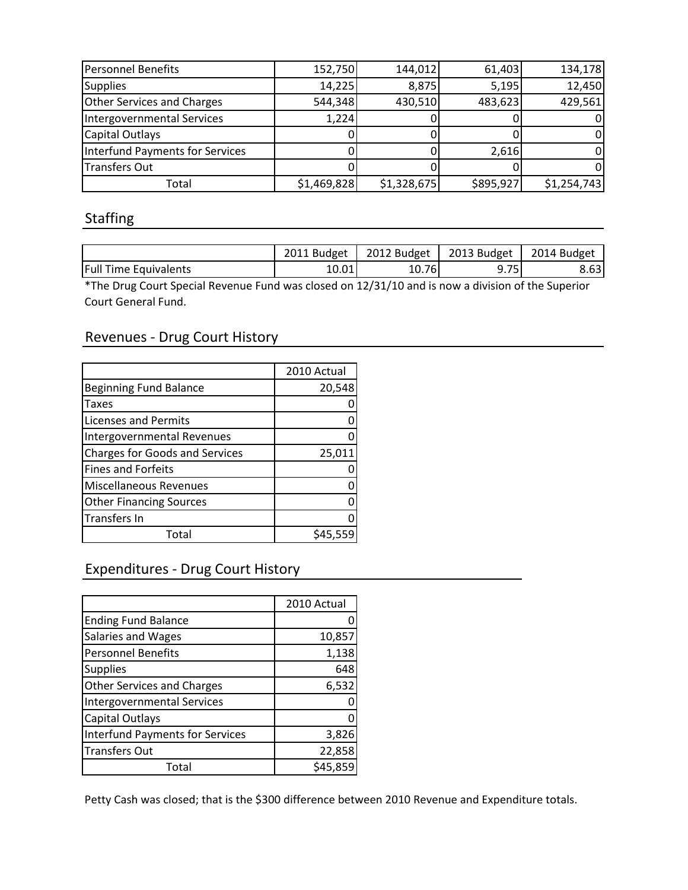| Personnel Benefits              | 152,750     | 144,012     | 61,403    | 134,178     |
|---------------------------------|-------------|-------------|-----------|-------------|
| <b>Supplies</b>                 | 14,225      | 8,875       | 5,195     | 12,450      |
| Other Services and Charges      | 544,348     | 430,510     | 483,623   | 429,561     |
| Intergovernmental Services      | 1,224       |             |           |             |
| Capital Outlays                 |             |             |           |             |
| Interfund Payments for Services |             |             | 2,616     |             |
| <b>Transfers Out</b>            |             |             |           |             |
| Total                           | \$1,469,828 | \$1,328,675 | \$895,927 | \$1,254,743 |

#### Staffing

|                       | 2011 Budget |        | 2012 Budget   2013 Budget   2014 Budget |      |
|-----------------------|-------------|--------|-----------------------------------------|------|
| Full Time Equivalents | 10.01       | 10.761 | 751                                     | 8.63 |

\*The Drug Court Special Revenue Fund was closed on 12/31/10 and is now a division of the Superior Court General Fund.

### Revenues - Drug Court History **County Access 2018**

|                                       | 2010 Actual |
|---------------------------------------|-------------|
| <b>Beginning Fund Balance</b>         | 20,548      |
| <b>Taxes</b>                          |             |
| <b>Licenses and Permits</b>           |             |
| Intergovernmental Revenues            |             |
| <b>Charges for Goods and Services</b> | 25,011      |
| <b>Fines and Forfeits</b>             |             |
| Miscellaneous Revenues                |             |
| <b>Other Financing Sources</b>        |             |
| Transfers In                          |             |
| Total                                 | \$45,55     |

#### Expenditures - Drug Court History

|                                   | 2010 Actual |
|-----------------------------------|-------------|
| <b>Ending Fund Balance</b>        | 0           |
| <b>Salaries and Wages</b>         | 10,857      |
| <b>Personnel Benefits</b>         | 1,138       |
| <b>Supplies</b>                   | 648         |
| <b>Other Services and Charges</b> | 6,532       |
| Intergovernmental Services        |             |
| <b>Capital Outlays</b>            |             |
| Interfund Payments for Services   | 3,826       |
| Transfers Out                     | 22,858      |
| Total                             | \$45,859    |

Petty Cash was closed; that is the \$300 difference between 2010 Revenue and Expenditure totals.